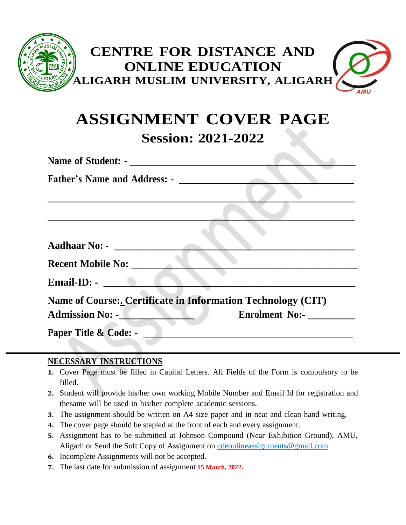

# **ASSIGNMENT COVER PAGE Session: 2021-2022**

| Name of Student: -                  |                                                                     |
|-------------------------------------|---------------------------------------------------------------------|
| <b>Father's Name and Address: -</b> |                                                                     |
|                                     |                                                                     |
|                                     |                                                                     |
|                                     |                                                                     |
| Aadhaar No: - <u>_____________</u>  |                                                                     |
| <b>Recent Mobile No:</b>            |                                                                     |
| Email-ID: $\bullet$                 |                                                                     |
|                                     | <b>Name of Course:. Certificate in Information Technology (CIT)</b> |
| <b>Admission No: -</b>              | <b>Enrolment No:-</b>                                               |
| Paper Title & Code: -               |                                                                     |
|                                     |                                                                     |

#### **NECESSARY INSTRUCTIONS**

- **1.** Cover Page must be filled in Capital Letters. All Fields of the Form is compulsory to be filled.
- **2.** Student will provide his/her own working Mobile Number and Email Id for registration and thesame will be used in his/her complete academic sessions.
- **3.** The assignment should be written on A4 size paper and in neat and clean hand writing.
- **4.** The cover page should be stapled at the front of each and every assignment.
- **5.** Assignment has to be submitted at Johnson Compound (Near Exhibition Ground), AMU, Aligarh or Send the Soft Copy of Assignment on [cdeonlineassignments@gmail.com](mailto:cdeonlineassignments@gmail.com)
- **6.** Incomplete Assignments will not be accepted.
- **7.** The last date for submission of assignment **15 March, 2022.**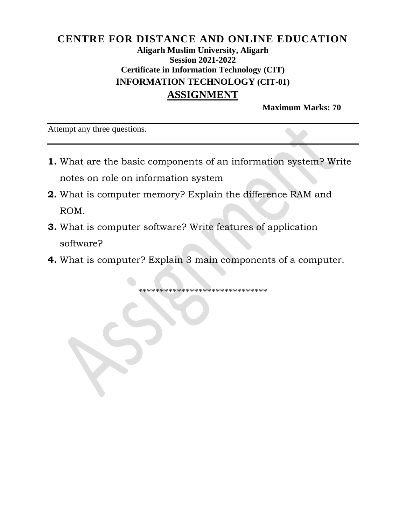### **CENTRE FOR DISTANCE AND ONLINE EDUCATION Aligarh Muslim University, Aligarh Session 2021-2022 Certificate in Information Technology (CIT) INFORMATION TECHNOLOGY (CIT-01) ASSIGNMENT**

**Maximum Marks: 70**

Attempt any three questions.

- **1.** What are the basic components of an information system? Write notes on role on information system
- **2.** What is computer memory? Explain the difference RAM and ROM.
- **3.** What is computer software? Write features of application software?
- **4.** What is computer? Explain 3 main components of a computer.

\*\*\*\*\*\*\*\*\*\*\*\*\*\*\*\*\*\*\*\*\*\*\*\*\*\*\*\*\*\*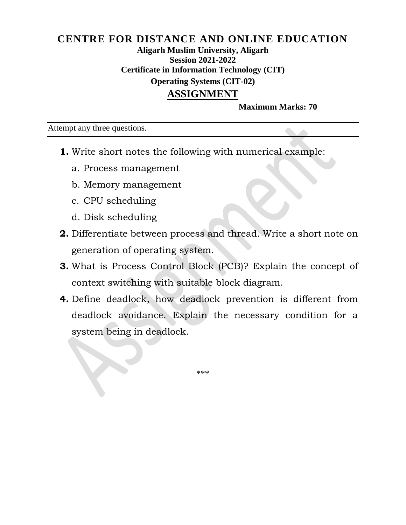#### **CENTRE FOR DISTANCE AND ONLINE EDUCATION Aligarh Muslim University, Aligarh Session 2021-2022 Certificate in Information Technology (CIT) Operating Systems (CIT-02) ASSIGNMENT**

**Maximum Marks: 70**

Attempt any three questions.

- **1.** Write short notes the following with numerical example:
	- a. Process management
	- b. Memory management
	- c. CPU scheduling
	- d. Disk scheduling
- **2.** Differentiate between process and thread. Write a short note on generation of operating system.
- **3.** What is Process Control Block (PCB)? Explain the concept of context switching with suitable block diagram.
- **4.** Define deadlock, how deadlock prevention is different from deadlock avoidance. Explain the necessary condition for a system being in deadlock.

\*\*\*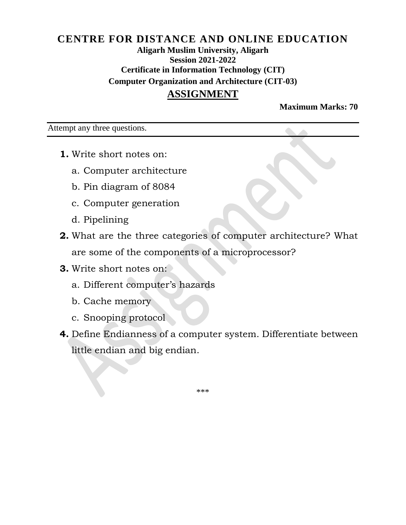#### **CENTRE FOR DISTANCE AND ONLINE EDUCATION Aligarh Muslim University, Aligarh Session 2021-2022 Certificate in Information Technology (CIT) Computer Organization and Architecture (CIT-03) ASSIGNMENT**

**Maximum Marks: 70**

Attempt any three questions.

- **1.** Write short notes on:
	- a. Computer architecture
	- b. Pin diagram of 8084
	- c. Computer generation
	- d. Pipelining
- **2.** What are the three categories of computer architecture? What are some of the components of a microprocessor?
- **3.** Write short notes on:
	- a. Different computer's hazards
	- b. Cache memory
	- c. Snooping protocol
- **4.** Define Endianness of a computer system. Differentiate between little endian and big endian.

\*\*\*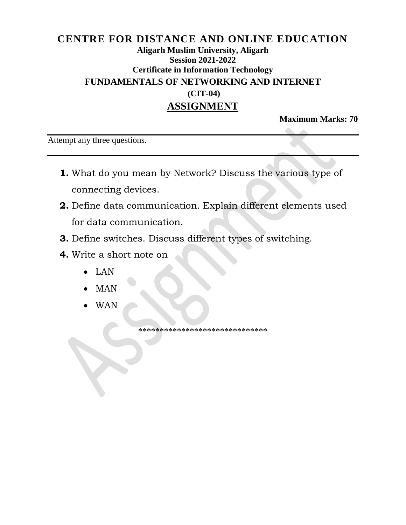## **CENTRE FOR DISTANCE AND ONLINE EDUCATION Aligarh Muslim University, Aligarh Session 2021-2022 Certificate in Information Technology FUNDAMENTALS OF NETWORKING AND INTERNET (CIT-04) ASSIGNMENT**

**Maximum Marks: 70**

Attempt any three questions.

- **1.** What do you mean by Network? Discuss the various type of connecting devices.
- **2.** Define data communication. Explain different elements used for data communication.
- **3.** Define switches. Discuss different types of switching.
- **4.** Write a short note on
	- LAN
	- MAN
	- WAN

\*\*\*\*\*\*\*\*\*\*\*\*\*\*\*\*\*\*\*\*\*\*\*\*\*\*\*\*\*\*